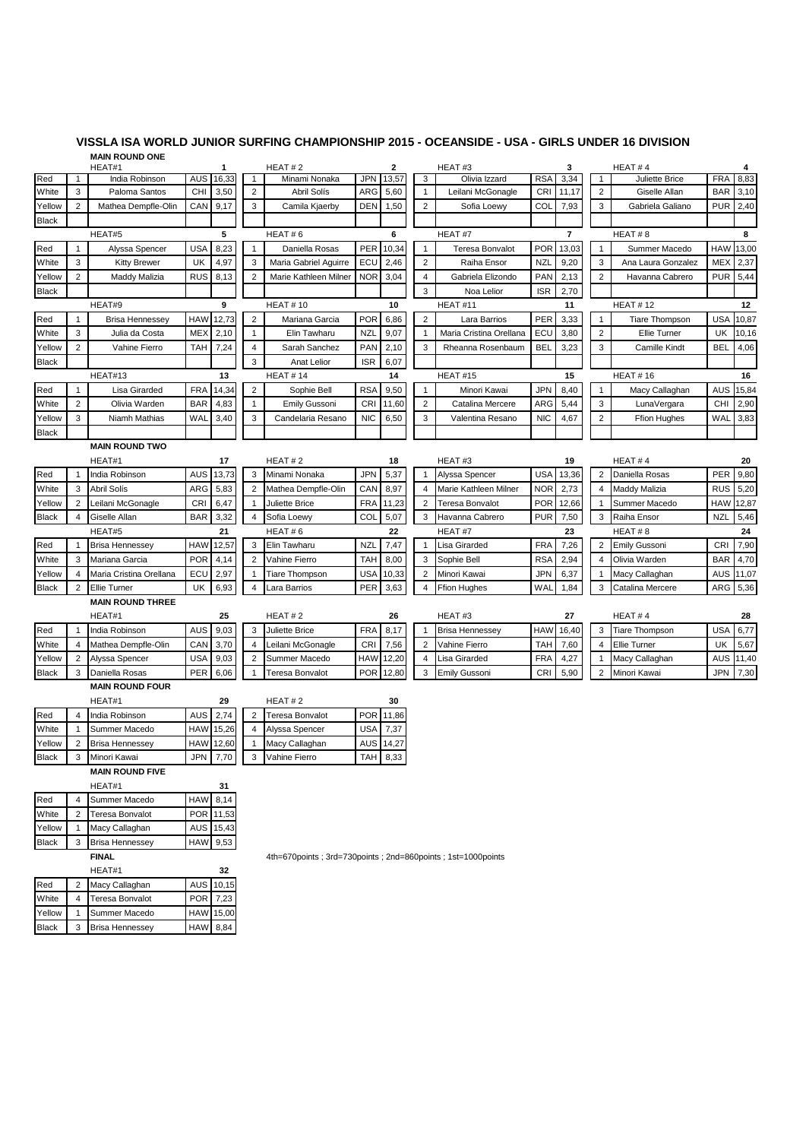## **VISSLA ISA WORLD JUNIOR SURFING CHAMPIONSHIP 2015 - OCEANSIDE - USA - GIRLS UNDER 16 DIVISION MAIN ROUND ONE**

| HEAT#1                 |                | HEAT#2<br>1             |            |                      | 2                       |                                                             | HEAT#3     | 3      |                |                         | HEAT#4            |        |                         |                      |            |                 |
|------------------------|----------------|-------------------------|------------|----------------------|-------------------------|-------------------------------------------------------------|------------|--------|----------------|-------------------------|-------------------|--------|-------------------------|----------------------|------------|-----------------|
| Red                    | 1              | India Robinson          | AUS        | 16,33                |                         | Minami Nonaka                                               | <b>JPN</b> | 13,57  | 3              | Olivia Izzard           | <b>RSA</b>        | 3,34   | $\mathbf{1}$            | Juliette Brice       | <b>FRA</b> | 8,83            |
| White                  | 3              | Paloma Santos           | <b>CHI</b> | 3,50                 | $\overline{2}$          | Abril Solís                                                 | ARG        | 5,60   | $\mathbf{1}$   | Leilani McGonagle       | <b>CRI</b>        | 11,17  | $\overline{2}$          | Giselle Allan        | <b>BAR</b> | 3,10            |
| Yellow                 | $\overline{2}$ | Mathea Dempfle-Olin     | CAN        | 9,17                 | 3                       | Camila Kjaerby                                              | DEN        | 1,50   | $\overline{2}$ | Sofia Loewy             | COL               | 7,93   | 3                       | Gabriela Galiano     |            | PUR 2,40        |
| Black                  |                |                         |            |                      |                         |                                                             |            |        |                |                         |                   |        |                         |                      |            |                 |
| HEAT#5                 |                | 5                       |            | HEAT#6               | 6                       |                                                             |            | HEAT#7 |                | $\overline{7}$          |                   | HEAT#8 | 8                       |                      |            |                 |
| Red                    | $\mathbf{1}$   | Alyssa Spencer          | <b>USA</b> | 8,23                 | $\mathbf 1$             | Daniella Rosas                                              | PER        | 10,34  | 1              | Teresa Bonvalot         | <b>POR</b>        | 13,03  | 1                       | Summer Macedo        | HAW        | 13,00           |
| White                  | 3              | <b>Kitty Brewer</b>     | UK         | 4,97                 | 3                       | Maria Gabriel Aguirre                                       | ECU        | 2,46   | $\overline{2}$ | Raiha Ensor             | NZL               | 9,20   | 3                       | Ana Laura Gonzalez   | MEX        | 2,37            |
| Yellow                 | $\overline{2}$ | Maddy Malizia           | <b>RUS</b> | 8,13                 | $\overline{c}$          | Marie Kathleen Milner                                       | <b>NOR</b> | 3,04   | 4              | Gabriela Elizondo       | PAN               | 2,13   | $\overline{c}$          | Havanna Cabrero      |            | <b>PUR 5,44</b> |
| <b>Black</b>           |                |                         |            |                      |                         |                                                             |            |        | 3              | Noa Lelior              | <b>ISR</b>        | 2,70   |                         |                      |            |                 |
|                        |                | HEAT#9                  |            | 9                    | <b>HEAT#10</b>          |                                                             | 10         |        |                | HEAT#11<br>11           |                   |        |                         | <b>HEAT#12</b>       |            | 12              |
| Red                    | $\mathbf{1}$   | <b>Brisa Hennessey</b>  | <b>HAW</b> | 12,73                | $\overline{2}$          | Mariana Garcia                                              | POR        | 6,86   | $\overline{2}$ | Lara Barrios            | PER               | 3,33   | $\mathbf{1}$            | Tiare Thompson       | <b>USA</b> | 10,87           |
| White                  | 3              | Julia da Costa          | <b>MEX</b> | 2,10                 | $\mathbf{1}$            | Elin Tawharu                                                | <b>NZL</b> | 9,07   | $\mathbf{1}$   | Maria Cristina Orellana | ECL               | 3,80   | $\sqrt{2}$              | Ellie Turner         | UK         | 10,16           |
| Yellow                 | 2              | Vahine Fierro           | TAH        | 7,24                 | 4                       | Sarah Sanchez                                               | <b>PAN</b> | 2,10   | 3              | Rheanna Rosenbaum       | <b>BEL</b>        | 3,23   | 3                       | Camille Kindt        | BEL        | 4,06            |
| <b>Black</b>           |                |                         |            |                      | 3                       | Anat Lelior                                                 | <b>ISR</b> | 6,07   |                |                         |                   |        |                         |                      |            |                 |
|                        |                | HEAT#13                 |            | <b>HEAT#14</b><br>13 |                         | 14                                                          |            |        | HEAT#15        |                         | 15                |        | <b>HEAT#16</b>          |                      | 16         |                 |
| Red                    | $\mathbf{1}$   | Lisa Girarded           | <b>FRA</b> | 14,34                | $\overline{2}$          | Sophie Bell                                                 | <b>RSA</b> | 9,50   | $\mathbf{1}$   | Minori Kawai            | JPN               | 8,40   | $\mathbf{1}$            | Macy Callaghan       | AUS        | 15,84           |
| White                  | $\overline{2}$ | Olivia Warden           | <b>BAR</b> | 4,83                 | -1                      | <b>Emily Gussoni</b>                                        | <b>CRI</b> | 11,60  | 2              | Catalina Mercere        | ARG               | 5,44   | 3                       | LunaVergara          | CHI        | 2,90            |
| Yellow                 | 3              | Niamh Mathias           | WAL        | 3,40                 | 3                       | Candelaria Resano                                           | <b>NIC</b> | 6,50   | 3              | Valentina Resano        | <b>NIC</b>        | 4,67   | $\overline{\mathbf{c}}$ | <b>Ffion Hughes</b>  | WAL        | 3,83            |
| Black                  |                |                         |            |                      |                         |                                                             |            |        |                |                         |                   |        |                         |                      |            |                 |
|                        |                | <b>MAIN ROUND TWO</b>   |            |                      |                         |                                                             |            |        |                |                         |                   |        |                         |                      |            |                 |
|                        |                | HEAT#1                  |            | 17                   |                         | HEAT#2                                                      |            | 18     |                | HEAT#3                  |                   | 19     |                         | HEAT#4               |            | 20              |
|                        |                |                         |            |                      |                         |                                                             |            |        |                |                         |                   |        |                         |                      |            |                 |
| Red                    | 1              | India Robinson          | AUS        | 13,73                | 3                       | Minami Nonaka                                               | JPN        | 5,37   | $\mathbf{1}$   | Alyssa Spencer          | USA<br><b>NOR</b> | 13,36  | 2                       | Daniella Rosas       | PER        | 9,80            |
| White                  | 3              | Abril Solís             | ARG        | 5,83                 | $\overline{2}$          | Mathea Dempfle-Olin                                         | CAN        | 8,97   | 4              | Marie Kathleen Milner   |                   | 2,73   | 4                       | Maddy Malizia        | <b>RUS</b> | 5,20            |
| Yellow                 | $\overline{2}$ | Leilani McGonagle       | <b>CRI</b> | 6,47                 | $\mathbf{1}$            | Juliette Brice                                              | <b>FRA</b> | 11,23  | $\overline{2}$ | Teresa Bonvalot         | <b>POR</b>        | 12,66  | 1                       | Summer Macedo        | HAW        | 12,87           |
| <b>Black</b>           | 4              | Giselle Allan           | <b>BAR</b> | 3,32                 | 4                       | Sofia Loewy                                                 | <b>COL</b> | 5,07   | 3              | Havanna Cabrero         | PUR               | 7,50   | 3                       | Raiha Ensor          | <b>NZL</b> | 5,46            |
|                        |                | HEAT#5                  |            | 21                   |                         | HEAT#6                                                      |            | 22     |                | HEAT#7                  |                   | 23     |                         | HEAT#8               |            | 24              |
| Red                    | 1              | <b>Brisa Hennessey</b>  | <b>HAW</b> | 12,57                | 3                       | Elin Tawharu                                                | <b>NZL</b> | 7,47   | $\mathbf{1}$   | Lisa Girarded           | FRA               | 7,26   | $\overline{2}$          | <b>Emily Gussoni</b> | CRI        | 7,90            |
| White                  | 3              | Mariana Garcia          | <b>POR</b> | 4,14                 | $\overline{2}$          | Vahine Fierro                                               | <b>TAH</b> | 8,00   | 3              | Sophie Bell             | RSA               | 2,94   | 4                       | Olivia Warden        | <b>BAR</b> | 4,70            |
| Yellow                 | 4              | Maria Cristina Orellana | ECU        | 2,97                 | -1                      | Tiare Thompson                                              | <b>USA</b> | 10,33  | 2              | Minori Kawai            | JPN               | 6,37   | 1                       | Macy Callaghan       | <b>AUS</b> | 11,07           |
| Black                  | 2              | <b>Ellie Turner</b>     | UK         | 6,93                 | 4                       | Lara Barrios                                                | PER        | 3,63   | 4              | <b>Ffion Hughes</b>     | WAL               | 1,84   | 3                       | Catalina Mercere     |            | ARG 5,36        |
|                        |                | <b>MAIN ROUND THREE</b> |            |                      |                         |                                                             |            |        |                |                         |                   |        |                         |                      |            |                 |
|                        |                | HEAT#1                  |            | 25                   |                         | HEAT#2                                                      |            | 26     |                | HEAT#3                  |                   | 27     |                         | HEAT#4               |            | 28              |
| Red                    | 1              | India Robinson          | AUS        | 9,03                 | 3                       | Juliette Brice                                              | <b>FRA</b> | 8,17   | $\mathbf{1}$   | <b>Brisa Hennessey</b>  | HAW               | 16,40  | 3                       | Tiare Thompson       | <b>USA</b> | 6,77            |
| White                  | 4              | Mathea Dempfle-Olin     | CAN        | 3,70                 | 4                       | Leilani McGonagle                                           | <b>CRI</b> | 7,56   | 2              | Vahine Fierro           | TAH               | 7,60   | 4                       | Ellie Turner         | UK         | 5,67            |
| Yellow                 | 2              | Alyssa Spencer          | <b>USA</b> | 9,03                 | $\overline{\mathbf{c}}$ | Summer Macedo                                               | HAW        | 12,20  | 4              | Lisa Girarded           | FRA               | 4,27   | $\mathbf{1}$            | Macy Callaghan       |            | AUS 11,40       |
| Black                  | 3              | Daniella Rosas          | PER        | 6,06                 | $\mathbf 1$             | Teresa Bonvalot                                             | <b>POR</b> | 12,80  | 3              | <b>Emily Gussoni</b>    | <b>CRI</b>        | 5,90   | $\overline{c}$          | Minori Kawai         | <b>JPN</b> | 7,30            |
| <b>MAIN ROUND FOUR</b> |                |                         |            |                      |                         |                                                             |            |        |                |                         |                   |        |                         |                      |            |                 |
|                        |                | HEAT#1                  |            | 29                   |                         | HEAT#2                                                      |            | 30     |                |                         |                   |        |                         |                      |            |                 |
| Red                    | 4              | India Robinson          | AUS        | 2,74                 | $\overline{c}$          | Teresa Bonvalot                                             | <b>POR</b> | 11,86  |                |                         |                   |        |                         |                      |            |                 |
| White                  | 1              | Summer Macedo           | <b>HAW</b> | 15,26                | 4                       | Alyssa Spencer                                              | <b>USA</b> | 7,37   |                |                         |                   |        |                         |                      |            |                 |
| Yellow                 | 2              | <b>Brisa Hennessey</b>  | HAW        | 12,60                | -1                      | Macy Callaghan                                              | AUS        | 14,27  |                |                         |                   |        |                         |                      |            |                 |
| <b>Black</b>           | 3              | Minori Kawai            | <b>JPN</b> | 7,70                 | 3                       | Vahine Fierro                                               | TAH        | 8,33   |                |                         |                   |        |                         |                      |            |                 |
|                        |                | <b>MAIN ROUND FIVE</b>  |            |                      |                         |                                                             |            |        |                |                         |                   |        |                         |                      |            |                 |
|                        |                | HEAT#1                  |            | 31                   |                         |                                                             |            |        |                |                         |                   |        |                         |                      |            |                 |
| Red                    | 4              | Summer Macedo           | <b>HAW</b> | 8,14                 |                         |                                                             |            |        |                |                         |                   |        |                         |                      |            |                 |
| White                  | 2              | Teresa Bonvalot         | <b>POR</b> | 11,53                |                         |                                                             |            |        |                |                         |                   |        |                         |                      |            |                 |
| Yellow                 | $\mathbf{1}$   | Macy Callaghan          | AUS        | 15,43                |                         |                                                             |            |        |                |                         |                   |        |                         |                      |            |                 |
| Black                  | 3              | <b>Brisa Hennessey</b>  | <b>HAW</b> | 9,53                 |                         |                                                             |            |        |                |                         |                   |        |                         |                      |            |                 |
|                        |                | <b>FINAL</b>            |            |                      |                         | 4th=670points; 3rd=730points; 2nd=860points; 1st=1000points |            |        |                |                         |                   |        |                         |                      |            |                 |
| HEAT#1<br>32           |                |                         |            |                      |                         |                                                             |            |        |                |                         |                   |        |                         |                      |            |                 |
| Red                    | $\overline{2}$ | Macy Callaghan          | AUS        | 10,15                |                         |                                                             |            |        |                |                         |                   |        |                         |                      |            |                 |
| White                  | 4              | Teresa Bonvalot         | <b>POR</b> | 7,23                 |                         |                                                             |            |        |                |                         |                   |        |                         |                      |            |                 |
| Yellow                 | 1              | Summer Macedo           | <b>HAW</b> | 15,00                |                         |                                                             |            |        |                |                         |                   |        |                         |                      |            |                 |
| Black                  | 3              | <b>Brisa Hennessey</b>  | <b>HAW</b> | 8,84                 |                         |                                                             |            |        |                |                         |                   |        |                         |                      |            |                 |
|                        |                |                         |            |                      |                         |                                                             |            |        |                |                         |                   |        |                         |                      |            |                 |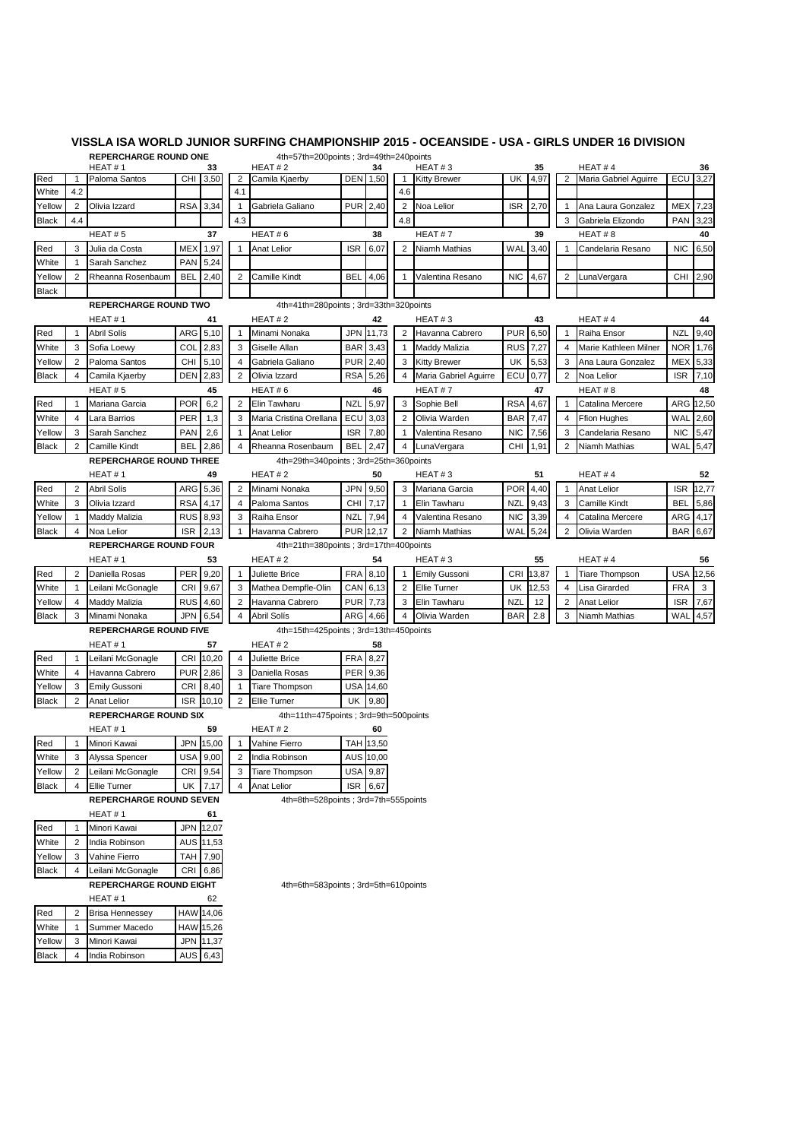|                                |     | <b>REPERCHARGE ROUND ONE</b>   |            |           |                                                  | 4th=57th=200points; 3rd=49th=240points        |                  |                  |                |                                             |            |              |                         |                                 |            |       |
|--------------------------------|-----|--------------------------------|------------|-----------|--------------------------------------------------|-----------------------------------------------|------------------|------------------|----------------|---------------------------------------------|------------|--------------|-------------------------|---------------------------------|------------|-------|
|                                |     | HEAT#1                         |            | 33        |                                                  | HEAT#2                                        |                  | 34               |                | HEAT#3                                      |            | 35           |                         | HEAT#4                          |            | 36    |
| Red                            |     | Paloma Santos                  |            | CHI 3,50  | $\overline{2}$                                   | Camila Kjaerby                                |                  | DEN 1,50         | 1              | <b>Kitty Brewer</b>                         | UK         | 4,97         | $\overline{2}$          | Maria Gabriel Aguirre           | ECU        | 3,27  |
| White                          | 4.2 |                                |            |           | 4.1                                              |                                               |                  |                  | 4.6            |                                             |            |              |                         |                                 |            |       |
| Yellow                         | 2   | Olivia Izzard                  | <b>RSA</b> | 3,34      | -1                                               | Gabriela Galiano                              | <b>PUR</b>       | 2,40             | 2              | Noa Lelior                                  | <b>ISR</b> | 2,70         | $\mathbf{1}$            | Ana Laura Gonzalez              | MEX        | 7,23  |
| <b>Black</b>                   | 4.4 |                                |            |           | 4.3                                              |                                               |                  |                  | 4.8            |                                             |            |              | 3                       | Gabriela Elizondo               | <b>PAN</b> | 3,23  |
|                                |     | HEAT#5                         |            | 37        |                                                  | HEAT#6<br>38                                  |                  |                  | HEAT#7         | 39                                          |            |              | HEAT#8                  |                                 | 40         |       |
| Red                            | 3   | Julia da Costa                 | <b>MEX</b> | 1,97      |                                                  | <b>ISR</b><br>6,07<br><b>Anat Lelior</b><br>1 |                  | $\overline{2}$   | Niamh Mathias  | WAL                                         | 3,40       | $\mathbf{1}$ | Candelaria Resano       | <b>NIC</b>                      | 6,50       |       |
| White                          | -1  | Sarah Sanchez                  | <b>PAN</b> | 5,24      |                                                  |                                               |                  |                  |                |                                             |            |              |                         |                                 |            |       |
| Yellow                         | 2   | Rheanna Rosenbaum              | BEL        | 2,40      | 2                                                | <b>Camille Kindt</b>                          | BEL              | 4,06             | 1              | Valentina Resano                            | <b>NIC</b> | 4,67         | 2                       | LunaVergara                     | CHI        | 2,90  |
| <b>Black</b>                   |     |                                |            |           |                                                  |                                               |                  |                  |                |                                             |            |              |                         |                                 |            |       |
|                                |     | <b>REPERCHARGE ROUND TWO</b>   |            |           |                                                  | 4th=41th=280points; 3rd=33th=320points        |                  |                  |                |                                             |            |              |                         |                                 |            |       |
|                                |     | HEAT#1                         |            | 41        |                                                  | HEAT#2                                        |                  | 42               |                | HEAT#3                                      |            | 43           |                         | HEAT#4                          |            | 44    |
| Red                            |     | Abril Solís                    | ARG        | 5,10      | $\mathbf 1$                                      | Minami Nonaka                                 | JPN              | 11,73            | 2              | Havanna Cabrero                             | <b>PUR</b> | 6,50         | 1                       | Raiha Ensor                     | <b>NZL</b> | 9,40  |
| White                          | 3   | Sofia Loewy                    | <b>COL</b> | 2,83      | 3                                                | Giselle Allan                                 |                  | <b>BAR</b> 3,43  | 1              | <b>Maddy Malizia</b>                        | <b>RUS</b> | 7,27         | 4                       | Marie Kathleen Milner           | <b>NOR</b> | 1,76  |
| Yellow                         | 2   | Paloma Santos                  | CHI        | 5,10      | 4                                                | Gabriela Galiano                              | <b>PUR</b>       | 2,40             | 3              | <b>Kitty Brewer</b>                         | UK         | 5,53         | 3                       | Ana Laura Gonzalez              | MEX        | 5,33  |
| <b>Black</b>                   | 4   | Camila Kjaerby                 | DEN        | 2,83      | 2                                                | Olivia Izzard                                 |                  | RSA 5,26         | 4              | Maria Gabriel Aguirre                       | ECU        | 0,77         | $\overline{2}$          | Noa Lelior                      | <b>ISR</b> | 7,10  |
|                                |     | HEAT#5                         |            | 45        | HEAT#6<br>46                                     |                                               |                  | HEAT#7<br>47     |                |                                             | HEAT#8     |              | 48                      |                                 |            |       |
| Red                            |     | Mariana Garcia                 | <b>POR</b> | 6,2       | $\overline{2}$                                   | Elin Tawharu                                  | NZL              | 5,97             | 3              | Sophie Bell                                 |            | RSA 4,67     | $\mathbf{1}$            | Catalina Mercere                | ARG        | 12,50 |
| White                          | 4   | Lara Barrios                   | <b>PER</b> | 1,3       | 3                                                | Maria Cristina Orellana                       | ECU              | 3,03             | $\overline{2}$ | Olivia Warden                               | <b>BAR</b> | 7,47         | 4                       | <b>Ffion Hughes</b>             | WAL        | 2,60  |
| Yellow                         | 3   | Sarah Sanchez                  | <b>PAN</b> | 2,6       | -1                                               | <b>Anat Lelior</b>                            | <b>ISR</b>       | 7,80             | 1              | Valentina Resano                            | <b>NIC</b> | 7,56         | 3                       | Candelaria Resano               | <b>NIC</b> | 5,47  |
| <b>Black</b>                   | 2   | Camille Kindt                  | <b>BEL</b> | 2,86      | 4                                                | Rheanna Rosenbaum                             | <b>BEL</b>       | 2,47             | 4              | LunaVergara                                 | CHI        | 1,91         | $\overline{\mathbf{c}}$ | Niamh Mathias                   | WAL        | 5,47  |
|                                |     | <b>REPERCHARGE ROUND THREE</b> |            |           |                                                  | 4th=29th=340points ; 3rd=25th=360points       |                  |                  |                |                                             |            |              |                         |                                 |            |       |
|                                |     | HEAT#1<br>49                   |            |           |                                                  | HEAT#2                                        |                  | 50               |                | HEAT#3                                      |            | 51           |                         | HEAT#4                          |            | 52    |
| Red                            | 2   | Abril Solís                    | ARG        | 5,36      | 2                                                | Minami Nonaka                                 | JPN              | 9,50             | 3              | Mariana Garcia                              | <b>POR</b> | 4,40         | 1                       | Anat Lelior                     | <b>ISR</b> | 12,77 |
| White                          | 3   | Olivia Izzard                  | <b>RSA</b> | 4,17      | 4                                                | Paloma Santos                                 | CHI <sup>1</sup> | 7,17             | 1              | Elin Tawharu                                | <b>NZL</b> | 9,43         | 3                       | Camille Kindt                   | <b>BEL</b> | 5,86  |
| Yellow                         |     | Maddy Malizia                  | RUS 8,93   |           | 3                                                | Raiha Ensor                                   | NZL              | 7,94             | 4              | Valentina Resano                            | <b>NIC</b> | 3,39         | 4                       | Catalina Mercere                | ARG        | 4,17  |
| <b>Black</b>                   | 4   | Noa Lelior                     | <b>ISR</b> | 2,13      | 1                                                | Havanna Cabrero                               |                  | PUR 12,17        | $\overline{2}$ | Niamh Mathias                               | WAL        | 5,24         | $\overline{\mathbf{c}}$ | Olivia Warden                   | BAR        | 6,67  |
|                                |     | <b>REPERCHARGE ROUND FOUR</b>  |            |           |                                                  |                                               |                  |                  |                |                                             |            |              |                         |                                 |            |       |
|                                |     | HEAT#1                         |            | 53        | 4th=21th=380points; 3rd=17th=400points<br>HEAT#2 |                                               |                  |                  |                | HEAT#4<br>HEAT#3<br>55                      |            |              |                         |                                 |            | 56    |
|                                | 2   |                                | PER        | 9,20      | $\mathbf{1}$                                     |                                               | FRA              | 54<br>8,10       | 1              |                                             | CRI        | 13,87        | 1                       |                                 | <b>USA</b> | 12,56 |
| Red                            | 1   | Daniella Rosas                 | <b>CRI</b> | 9,67      | 3                                                | Juliette Brice<br>Mathea Dempfle-Olin         |                  | CAN 6,13         | 2              | <b>Emily Gussoni</b><br><b>Ellie Turner</b> |            |              | 4                       | Tiare Thompson<br>Lisa Girarded | <b>FRA</b> | 3     |
| White                          |     | Leilani McGonagle              | <b>RUS</b> |           |                                                  |                                               | <b>PUR</b>       |                  |                |                                             | UK         | 12,53        |                         |                                 |            |       |
| Yellow                         | 4   | Maddy Malizia                  |            | 4,60      | 2                                                | Havanna Cabrero                               |                  | 7,73             | 3              | Elin Tawharu                                | NZL        | 12           | 2                       | Anat Lelior                     | <b>ISR</b> | 7,67  |
| <b>Black</b>                   | 3   | Minami Nonaka                  | JPN        | 6,54      | 4                                                | <b>Abril Solís</b>                            | ARG              | 4,66             | 4              | Olivia Warden                               | <b>BAR</b> | 2.8          | 3                       | Niamh Mathias                   | WAL        | 4,57  |
|                                |     | <b>REPERCHARGE ROUND FIVE</b>  |            |           | 4th=15th=425points; 3rd=13th=450points           |                                               |                  |                  |                |                                             |            |              |                         |                                 |            |       |
|                                |     | HEAT#1                         |            | 57        |                                                  | HEAT#2                                        |                  | 58               |                |                                             |            |              |                         |                                 |            |       |
| Red                            | -1  | Leilani McGonagle              | <b>CRI</b> | 10,20     | $\overline{4}$                                   | Juliette Brice                                | <b>FRA</b>       | 8,27             |                |                                             |            |              |                         |                                 |            |       |
| White                          | 4   | Havanna Cabrero                | <b>PUR</b> | 2,86      | 3                                                | Daniella Rosas                                |                  | PER 9,36         |                |                                             |            |              |                         |                                 |            |       |
| Yellow                         | 3   | Emily Gussoni                  | CRI        | 8,40      | -1                                               | <b>Tiare Thompson</b>                         |                  | <b>USA 14,60</b> |                |                                             |            |              |                         |                                 |            |       |
| <b>Black</b>                   | 2   | Anat Lelior                    | <b>ISR</b> | 10,10     | 2                                                | <b>Ellie Turner</b>                           | UK               | 9,80             |                |                                             |            |              |                         |                                 |            |       |
|                                |     | <b>REPERCHARGE ROUND SIX</b>   |            |           | 4th=11th=475points; 3rd=9th=500points            |                                               |                  |                  |                |                                             |            |              |                         |                                 |            |       |
|                                |     | HEAT#1<br>59                   |            |           | HEAT#2<br>60                                     |                                               |                  |                  |                |                                             |            |              |                         |                                 |            |       |
| Red                            | 1   | Minori Kawai                   |            | JPN 15,00 | $\mathbf{1}$                                     | Vahine Fierro                                 |                  | TAH 13,50        |                |                                             |            |              |                         |                                 |            |       |
| White                          |     | 3 Alyssa Spencer               |            | USA 9,00  | $\overline{2}$                                   | India Robinson                                |                  | AUS 10,00        |                |                                             |            |              |                         |                                 |            |       |
| Yellow                         | 2   | Leilani McGonagle              | CRI        | 9,54      | 3                                                | Tiare Thompson                                |                  | USA 9,87         |                |                                             |            |              |                         |                                 |            |       |
| <b>Black</b>                   | 4   | Ellie Turner                   | UK         | 7,17      | 4                                                | Anat Lelior                                   |                  | ISR 6,67         |                |                                             |            |              |                         |                                 |            |       |
|                                |     | <b>REPERCHARGE ROUND SEVEN</b> |            |           |                                                  | 4th=8th=528points; 3rd=7th=555points          |                  |                  |                |                                             |            |              |                         |                                 |            |       |
|                                |     | HEAT#1                         |            | 61        |                                                  |                                               |                  |                  |                |                                             |            |              |                         |                                 |            |       |
| Red                            |     | Minori Kawai                   |            | JPN 12,07 |                                                  |                                               |                  |                  |                |                                             |            |              |                         |                                 |            |       |
| White                          | 2   | India Robinson                 |            | AUS 11,53 |                                                  |                                               |                  |                  |                |                                             |            |              |                         |                                 |            |       |
| Yellow                         | 3   | Vahine Fierro                  |            | TAH 7,90  |                                                  |                                               |                  |                  |                |                                             |            |              |                         |                                 |            |       |
| <b>Black</b>                   | 4   | Leilani McGonagle              |            | CRI 6,86  |                                                  |                                               |                  |                  |                |                                             |            |              |                         |                                 |            |       |
| <b>REPERCHARGE ROUND EIGHT</b> |     |                                |            |           |                                                  | 4th=6th=583points; 3rd=5th=610points          |                  |                  |                |                                             |            |              |                         |                                 |            |       |
| HEAT#1<br>62                   |     |                                |            |           |                                                  |                                               |                  |                  |                |                                             |            |              |                         |                                 |            |       |
| Red                            | 2   | <b>Brisa Hennessey</b>         |            | HAW 14,06 |                                                  |                                               |                  |                  |                |                                             |            |              |                         |                                 |            |       |
| White                          |     | Summer Macedo                  |            | HAW 15,26 |                                                  |                                               |                  |                  |                |                                             |            |              |                         |                                 |            |       |
| Yellow                         | 3   | Minori Kawai                   |            | JPN 11,37 |                                                  |                                               |                  |                  |                |                                             |            |              |                         |                                 |            |       |
| <b>Black</b>                   | 4   | India Robinson                 |            | AUS 6,43  |                                                  |                                               |                  |                  |                |                                             |            |              |                         |                                 |            |       |

4 India Robinson

## **VISSLA ISA WORLD JUNIOR SURFING CHAMPIONSHIP 2015 - OCEANSIDE - USA - GIRLS UNDER 16 DIVISION**